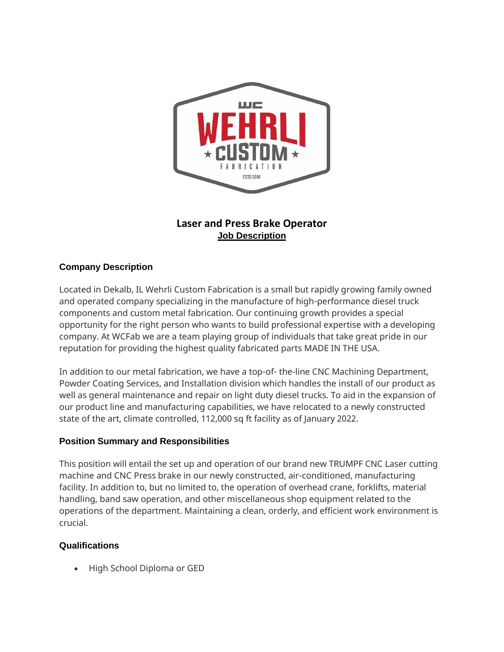

## **Laser and Press Brake Operator Job Description**

## **Company Description**

Located in Dekalb, IL Wehrli Custom Fabrication is a small but rapidly growing family owned and operated company specializing in the manufacture of high-performance diesel truck components and custom metal fabrication. Our continuing growth provides a special opportunity for the right person who wants to build professional expertise with a developing company. At WCFab we are a team playing group of individuals that take great pride in our reputation for providing the highest quality fabricated parts MADE IN THE USA.

In addition to our metal fabrication, we have a top-of- the-line CNC Machining Department, Powder Coating Services, and Installation division which handles the install of our product as well as general maintenance and repair on light duty diesel trucks. To aid in the expansion of our product line and manufacturing capabilities, we have relocated to a newly constructed state of the art, climate controlled, 112,000 sq ft facility as of January 2022.

## **Position Summary and Responsibilities**

This position will entail the set up and operation of our brand new TRUMPF CNC Laser cutting machine and CNC Press brake in our newly constructed, air-conditioned, manufacturing facility. In addition to, but no limited to, the operation of overhead crane, forklifts, material handling, band saw operation, and other miscellaneous shop equipment related to the operations of the department. Maintaining a clean, orderly, and efficient work environment is crucial.

## **Qualifications**

• High School Diploma or GED